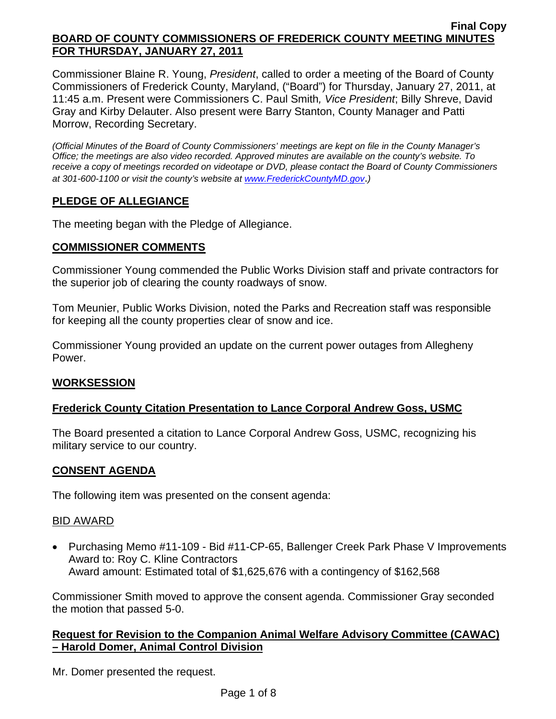Commissioner Blaine R. Young, *President*, called to order a meeting of the Board of County Commissioners of Frederick County, Maryland, ("Board") for Thursday, January 27, 2011, at 11:45 a.m. Present were Commissioners C. Paul Smith*, Vice President*; Billy Shreve, David Gray and Kirby Delauter. Also present were Barry Stanton, County Manager and Patti Morrow, Recording Secretary.

*(Official Minutes of the Board of County Commissioners' meetings are kept on file in the County Manager's Office; the meetings are also video recorded. Approved minutes are available on the county's website. To receive a copy of meetings recorded on videotape or DVD, please contact the Board of County Commissioners at 301-600-1100 or visit the county's website at [www.FrederickCountyMD.gov](http://www.frederickcountymd.gov/)*.*)* 

# **PLEDGE OF ALLEGIANCE**

The meeting began with the Pledge of Allegiance.

## **COMMISSIONER COMMENTS**

Commissioner Young commended the Public Works Division staff and private contractors for the superior job of clearing the county roadways of snow.

Tom Meunier, Public Works Division, noted the Parks and Recreation staff was responsible for keeping all the county properties clear of snow and ice.

Commissioner Young provided an update on the current power outages from Allegheny Power.

## **WORKSESSION**

# **Frederick County Citation Presentation to Lance Corporal Andrew Goss, USMC**

The Board presented a citation to Lance Corporal Andrew Goss, USMC, recognizing his military service to our country.

## **CONSENT AGENDA**

The following item was presented on the consent agenda:

## BID AWARD

• Purchasing Memo #11-109 - Bid #11-CP-65, Ballenger Creek Park Phase V Improvements Award to: Roy C. Kline Contractors Award amount: Estimated total of \$1,625,676 with a contingency of \$162,568

Commissioner Smith moved to approve the consent agenda. Commissioner Gray seconded the motion that passed 5-0.

## **Request for Revision to the Companion Animal Welfare Advisory Committee (CAWAC) – Harold Domer, Animal Control Division**

Mr. Domer presented the request.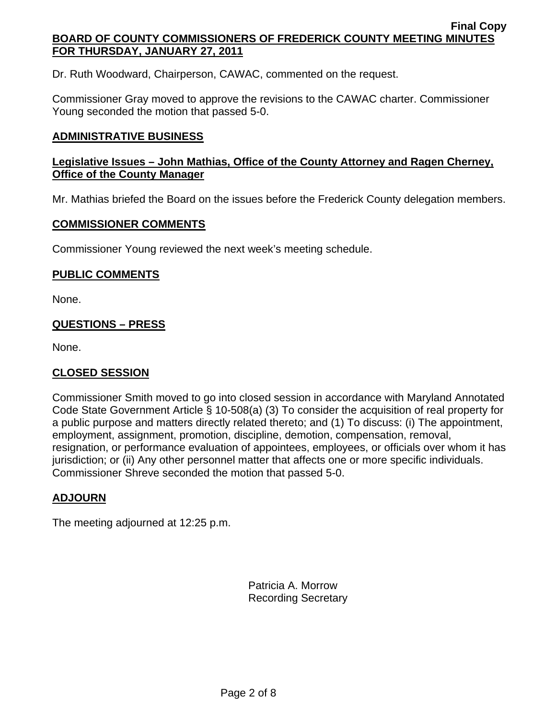Dr. Ruth Woodward, Chairperson, CAWAC, commented on the request.

Commissioner Gray moved to approve the revisions to the CAWAC charter. Commissioner Young seconded the motion that passed 5-0.

## **ADMINISTRATIVE BUSINESS**

## **Legislative Issues – John Mathias, Office of the County Attorney and Ragen Cherney, Office of the County Manager**

Mr. Mathias briefed the Board on the issues before the Frederick County delegation members.

## **COMMISSIONER COMMENTS**

Commissioner Young reviewed the next week's meeting schedule.

## **PUBLIC COMMENTS**

None.

## **QUESTIONS – PRESS**

None.

## **CLOSED SESSION**

Commissioner Smith moved to go into closed session in accordance with Maryland Annotated Code State Government Article § 10-508(a) (3) To consider the acquisition of real property for a public purpose and matters directly related thereto; and (1) To discuss: (i) The appointment, employment, assignment, promotion, discipline, demotion, compensation, removal, resignation, or performance evaluation of appointees, employees, or officials over whom it has jurisdiction; or (ii) Any other personnel matter that affects one or more specific individuals. Commissioner Shreve seconded the motion that passed 5-0.

# **ADJOURN**

The meeting adjourned at 12:25 p.m.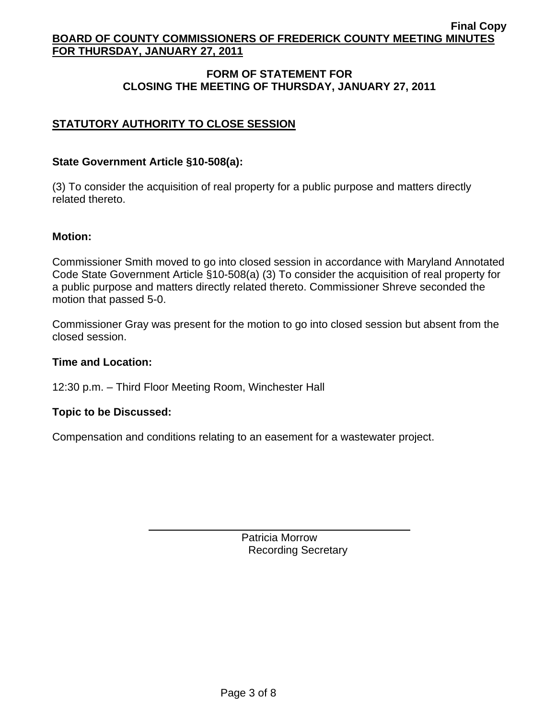## **FORM OF STATEMENT FOR CLOSING THE MEETING OF THURSDAY, JANUARY 27, 2011**

## **STATUTORY AUTHORITY TO CLOSE SESSION**

#### **State Government Article §10-508(a):**

(3) To consider the acquisition of real property for a public purpose and matters directly related thereto.

#### **Motion:**

Commissioner Smith moved to go into closed session in accordance with Maryland Annotated Code State Government Article §10-508(a) (3) To consider the acquisition of real property for a public purpose and matters directly related thereto. Commissioner Shreve seconded the motion that passed 5-0.

Commissioner Gray was present for the motion to go into closed session but absent from the closed session.

#### **Time and Location:**

12:30 p.m. – Third Floor Meeting Room, Winchester Hall

## **Topic to be Discussed:**

 $\overline{a}$ 

Compensation and conditions relating to an easement for a wastewater project.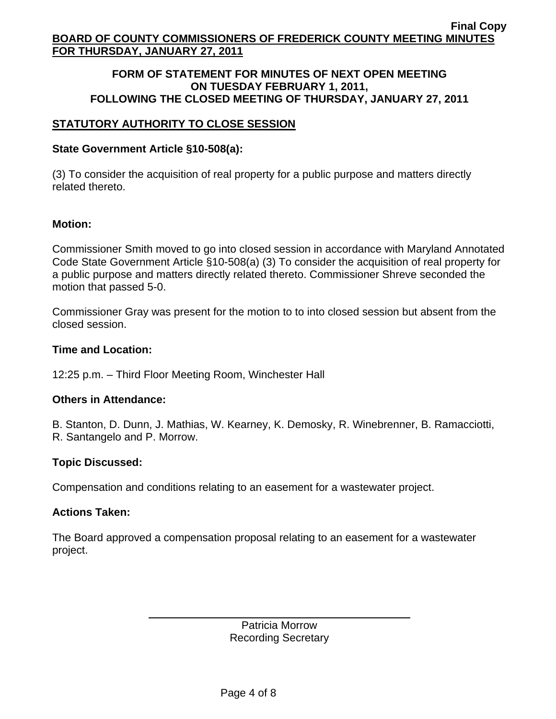#### **FORM OF STATEMENT FOR MINUTES OF NEXT OPEN MEETING ON TUESDAY FEBRUARY 1, 2011, FOLLOWING THE CLOSED MEETING OF THURSDAY, JANUARY 27, 2011**

## **STATUTORY AUTHORITY TO CLOSE SESSION**

## **State Government Article §10-508(a):**

(3) To consider the acquisition of real property for a public purpose and matters directly related thereto.

## **Motion:**

Commissioner Smith moved to go into closed session in accordance with Maryland Annotated Code State Government Article §10-508(a) (3) To consider the acquisition of real property for a public purpose and matters directly related thereto. Commissioner Shreve seconded the motion that passed 5-0.

Commissioner Gray was present for the motion to to into closed session but absent from the closed session.

#### **Time and Location:**

12:25 p.m. – Third Floor Meeting Room, Winchester Hall

## **Others in Attendance:**

B. Stanton, D. Dunn, J. Mathias, W. Kearney, K. Demosky, R. Winebrenner, B. Ramacciotti, R. Santangelo and P. Morrow.

## **Topic Discussed:**

Compensation and conditions relating to an easement for a wastewater project.

## **Actions Taken:**

 $\overline{a}$ 

The Board approved a compensation proposal relating to an easement for a wastewater project.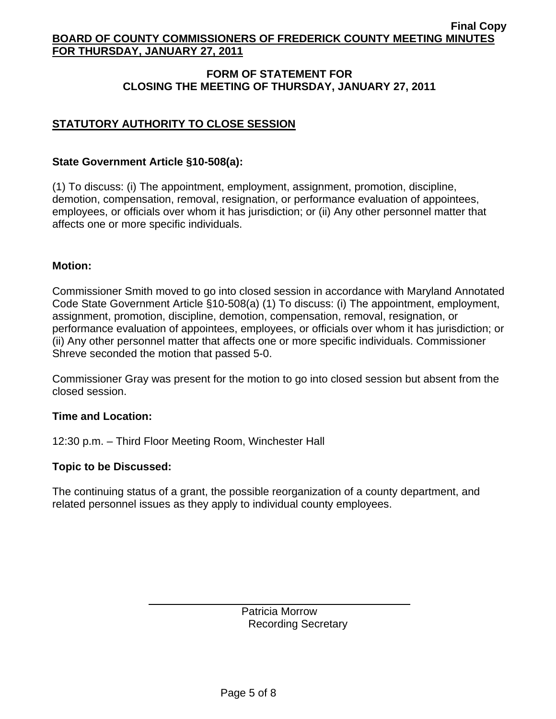## **FORM OF STATEMENT FOR CLOSING THE MEETING OF THURSDAY, JANUARY 27, 2011**

# **STATUTORY AUTHORITY TO CLOSE SESSION**

## **State Government Article §10-508(a):**

(1) To discuss: (i) The appointment, employment, assignment, promotion, discipline, demotion, compensation, removal, resignation, or performance evaluation of appointees, employees, or officials over whom it has jurisdiction; or (ii) Any other personnel matter that affects one or more specific individuals.

#### **Motion:**

Commissioner Smith moved to go into closed session in accordance with Maryland Annotated Code State Government Article §10-508(a) (1) To discuss: (i) The appointment, employment, assignment, promotion, discipline, demotion, compensation, removal, resignation, or performance evaluation of appointees, employees, or officials over whom it has jurisdiction; or (ii) Any other personnel matter that affects one or more specific individuals. Commissioner Shreve seconded the motion that passed 5-0.

Commissioner Gray was present for the motion to go into closed session but absent from the closed session.

#### **Time and Location:**

12:30 p.m. – Third Floor Meeting Room, Winchester Hall

#### **Topic to be Discussed:**

 $\overline{a}$ 

The continuing status of a grant, the possible reorganization of a county department, and related personnel issues as they apply to individual county employees.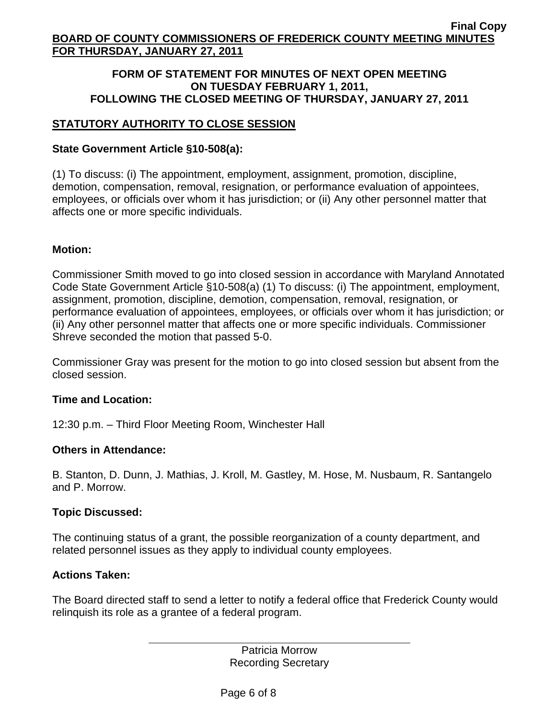#### **FORM OF STATEMENT FOR MINUTES OF NEXT OPEN MEETING ON TUESDAY FEBRUARY 1, 2011, FOLLOWING THE CLOSED MEETING OF THURSDAY, JANUARY 27, 2011**

# **STATUTORY AUTHORITY TO CLOSE SESSION**

## **State Government Article §10-508(a):**

(1) To discuss: (i) The appointment, employment, assignment, promotion, discipline, demotion, compensation, removal, resignation, or performance evaluation of appointees, employees, or officials over whom it has jurisdiction; or (ii) Any other personnel matter that affects one or more specific individuals.

## **Motion:**

Commissioner Smith moved to go into closed session in accordance with Maryland Annotated Code State Government Article §10-508(a) (1) To discuss: (i) The appointment, employment, assignment, promotion, discipline, demotion, compensation, removal, resignation, or performance evaluation of appointees, employees, or officials over whom it has jurisdiction; or (ii) Any other personnel matter that affects one or more specific individuals. Commissioner Shreve seconded the motion that passed 5-0.

Commissioner Gray was present for the motion to go into closed session but absent from the closed session.

## **Time and Location:**

12:30 p.m. – Third Floor Meeting Room, Winchester Hall

## **Others in Attendance:**

B. Stanton, D. Dunn, J. Mathias, J. Kroll, M. Gastley, M. Hose, M. Nusbaum, R. Santangelo and P. Morrow.

## **Topic Discussed:**

The continuing status of a grant, the possible reorganization of a county department, and related personnel issues as they apply to individual county employees.

## **Actions Taken:**

 $\overline{a}$ 

The Board directed staff to send a letter to notify a federal office that Frederick County would relinquish its role as a grantee of a federal program.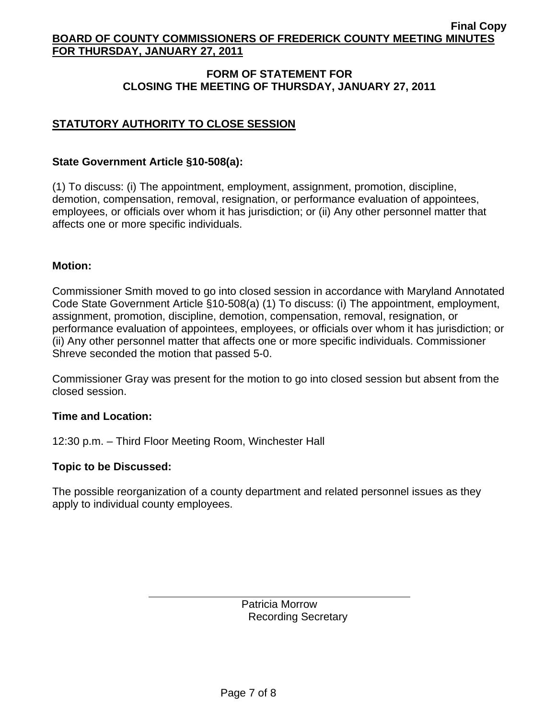## **FORM OF STATEMENT FOR CLOSING THE MEETING OF THURSDAY, JANUARY 27, 2011**

# **STATUTORY AUTHORITY TO CLOSE SESSION**

## **State Government Article §10-508(a):**

(1) To discuss: (i) The appointment, employment, assignment, promotion, discipline, demotion, compensation, removal, resignation, or performance evaluation of appointees, employees, or officials over whom it has jurisdiction; or (ii) Any other personnel matter that affects one or more specific individuals.

## **Motion:**

Commissioner Smith moved to go into closed session in accordance with Maryland Annotated Code State Government Article §10-508(a) (1) To discuss: (i) The appointment, employment, assignment, promotion, discipline, demotion, compensation, removal, resignation, or performance evaluation of appointees, employees, or officials over whom it has jurisdiction; or (ii) Any other personnel matter that affects one or more specific individuals. Commissioner Shreve seconded the motion that passed 5-0.

Commissioner Gray was present for the motion to go into closed session but absent from the closed session.

## **Time and Location:**

12:30 p.m. – Third Floor Meeting Room, Winchester Hall

## **Topic to be Discussed:**

 $\overline{a}$ 

The possible reorganization of a county department and related personnel issues as they apply to individual county employees.